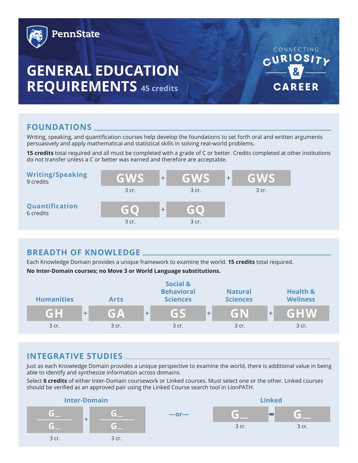

# **FOUNDATIONS**

Writing, speaking, and quantification courses help develop the foundations to set forth oral and written arguments persuasively and apply mathematical and statistical skills in solving real-world problems.

**15 credits** total required and all must be completed with a grade of C or better. Credits completed at other institutions do not transfer unless a C or better was earned and therefore are acceptable.

| <b>Writing/Speaking</b><br>9 credits | GWS   | $\qquad \qquad +$ | GWS   | $+$ | GWS   |
|--------------------------------------|-------|-------------------|-------|-----|-------|
|                                      | 3 cr. |                   | 3 cr. |     | 3 cr. |
| Quantification<br>6 credits          | GO    | $^{+}$            | 60    |     |       |
|                                      | 3 cr. |                   | 3 cr. |     |       |

# **BREADTH OF KNOWLEDGE**

Each Knowledge Domain provides a unique framework to examine the world. **15 credits** total required. **No Inter-Domain courses; no Move 3 or World Language substitutions.**



# **INTEGRATIVE STUDIES**

Just as each Knowledge Domain provides a unique perspective to examine the world, there is additional value in being able to identify and synthesize information across domains.

Select **6 credits** of either Inter-Domain coursework or Linked courses. Must select one or the other. Linked courses should be verified as an approved pair using the Linked Course search tool in LionPATH.